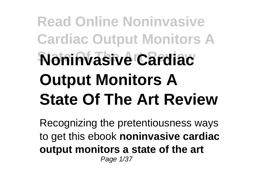## **Read Online Noninvasive Cardiac Output Monitors A State Of The Art Review Noninvasive Cardiac Output Monitors A State Of The Art Review**

Recognizing the pretentiousness ways to get this ebook **noninvasive cardiac output monitors a state of the art** Page 1/37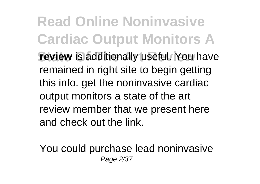**Read Online Noninvasive Cardiac Output Monitors A review** is additionally useful. You have remained in right site to begin getting this info. get the noninvasive cardiac output monitors a state of the art review member that we present here and check out the link.

You could purchase lead noninvasive Page 2/37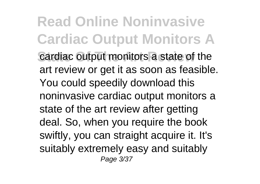**Read Online Noninvasive Cardiac Output Monitors A Cardiac Output monitors a state of the** art review or get it as soon as feasible. You could speedily download this noninvasive cardiac output monitors a state of the art review after getting deal. So, when you require the book swiftly, you can straight acquire it. It's suitably extremely easy and suitably Page 3/37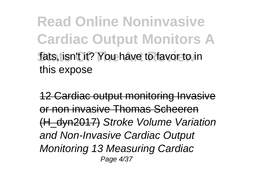**Read Online Noninvasive Cardiac Output Monitors A Stats, isn't it? You have to favor to in** this expose

12 Cardiac output monitoring Invasive or non invasive Thomas Scheeren (H\_dyn2017) Stroke Volume Variation and Non-Invasive Cardiac Output Monitoring 13 Measuring Cardiac Page 4/37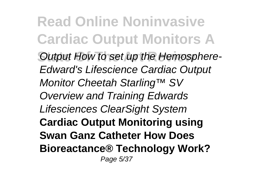**Read Online Noninvasive Cardiac Output Monitors A State Output How to set up the Hemosphere-**Edward's Lifescience Cardiac Output Monitor Cheetah Starling™ SV Overview and Training Edwards Lifesciences ClearSight System **Cardiac Output Monitoring using Swan Ganz Catheter How Does Bioreactance® Technology Work?** Page 5/37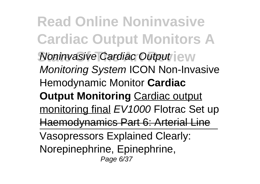**Read Online Noninvasive Cardiac Output Monitors A Noninvasive Cardiac Output jew** Monitoring System ICON Non-Invasive Hemodynamic Monitor **Cardiac Output Monitoring** Cardiac output monitoring final EV1000 Flotrac Set up Haemodynamics Part 6: Arterial Line Vasopressors Explained Clearly: Norepinephrine, Epinephrine, Page 6/37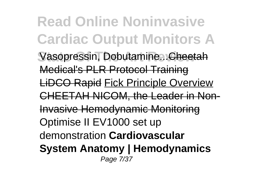**Read Online Noninvasive Cardiac Output Monitors A** Vasopressin, Dobutamine...Cheetah Medical's PLR Protocol Training LiDCO Rapid Fick Principle Overview CHEETAH NICOM, the Leader in Non-Invasive Hemodynamic Monitoring Optimise II EV1000 set up demonstration **Cardiovascular System Anatomy | Hemodynamics** Page 7/37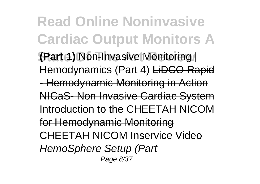**Read Online Noninvasive Cardiac Output Monitors A (Part 1)** Non-Invasive Monitoring | Hemodynamics (Part 4) LiDCO Rapid - Hemodynamic Monitoring in Action NICaS- Non Invasive Cardiac System Introduction to the CHEETAH NICOM for Hemodynamic Monitoring CHEETAH NICOM Inservice Video HemoSphere Setup (Part Page 8/37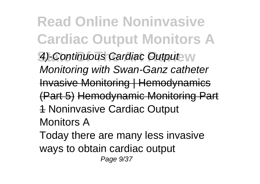**Read Online Noninvasive Cardiac Output Monitors A 4)-Continuous Cardiac Output W** Monitoring with Swan-Ganz catheter Invasive Monitoring | Hemodynamics (Part 5) Hemodynamic Monitoring Part 1 Noninvasive Cardiac Output Monitors A Today there are many less invasive ways to obtain cardiac output Page 9/37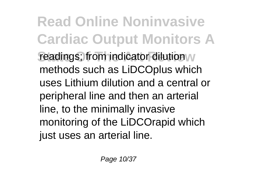**Read Online Noninvasive Cardiac Output Monitors A readings**; from indicator dilution  $w$ methods such as LiDCOplus which uses Lithium dilution and a central or peripheral line and then an arterial line, to the minimally invasive monitoring of the LiDCOrapid which just uses an arterial line.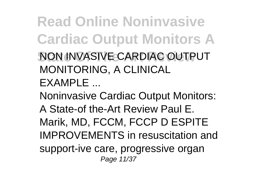**Read Online Noninvasive Cardiac Output Monitors A State Of The Art Review** NON INVASIVE CARDIAC OUTPUT MONITORING, A CLINICAL

EXAMPLE ...

Noninvasive Cardiac Output Monitors: A State-of the-Art Review Paul E. Marik, MD, FCCM, FCCP D ESPITE IMPROVEMENTS in resuscitation and support-ive care, progressive organ Page 11/37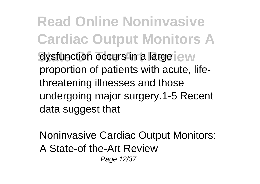**Read Online Noninvasive Cardiac Output Monitors A** dysfunction occurs in a large jew proportion of patients with acute, lifethreatening illnesses and those undergoing major surgery.1-5 Recent data suggest that

Noninvasive Cardiac Output Monitors: A State-of the-Art Review Page 12/37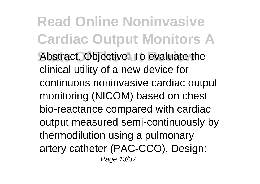**Read Online Noninvasive Cardiac Output Monitors A** Abstract. Objective: To evaluate the clinical utility of a new device for continuous noninvasive cardiac output monitoring (NICOM) based on chest bio-reactance compared with cardiac output measured semi-continuously by thermodilution using a pulmonary artery catheter (PAC-CCO). Design: Page 13/37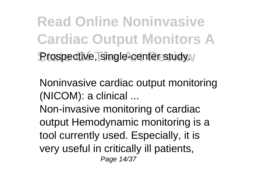**Read Online Noninvasive Cardiac Output Monitors A Prospective, single-center study.** 

Noninvasive cardiac output monitoring (NICOM): a clinical ...

Non-invasive monitoring of cardiac output Hemodynamic monitoring is a tool currently used. Especially, it is very useful in critically ill patients, Page 14/37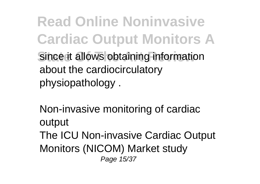**Read Online Noninvasive Cardiac Output Monitors A** Since it allows obtaining information about the cardiocirculatory physiopathology .

Non-invasive monitoring of cardiac output The ICU Non-invasive Cardiac Output Monitors (NICOM) Market study Page 15/37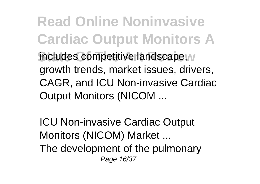**Read Online Noninvasive Cardiac Output Monitors A includes competitive landscape, v** growth trends, market issues, drivers, CAGR, and ICU Non-invasive Cardiac Output Monitors (NICOM ...

ICU Non-invasive Cardiac Output Monitors (NICOM) Market ... The development of the pulmonary Page 16/37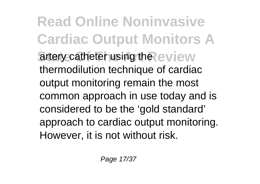**Read Online Noninvasive Cardiac Output Monitors A** artery catheter using the eview thermodilution technique of cardiac output monitoring remain the most common approach in use today and is considered to be the 'gold standard' approach to cardiac output monitoring. However, it is not without risk.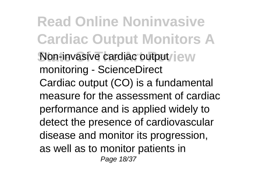**Read Online Noninvasive Cardiac Output Monitors A Non-invasive cardiac output/jew** monitoring - ScienceDirect Cardiac output (CO) is a fundamental measure for the assessment of cardiac performance and is applied widely to detect the presence of cardiovascular disease and monitor its progression, as well as to monitor patients in Page 18/37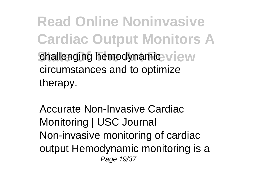**Read Online Noninvasive Cardiac Output Monitors A Challenging hemodynamic view** circumstances and to optimize therapy.

Accurate Non-Invasive Cardiac Monitoring | USC Journal Non-invasive monitoring of cardiac output Hemodynamic monitoring is a Page 19/37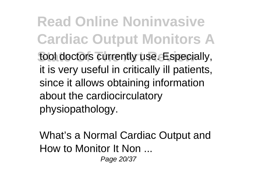**Read Online Noninvasive Cardiac Output Monitors A** tool doctors currently use. Especially, it is very useful in critically ill patients, since it allows obtaining information about the cardiocirculatory physiopathology.

What's a Normal Cardiac Output and How to Monitor It Non ... Page 20/37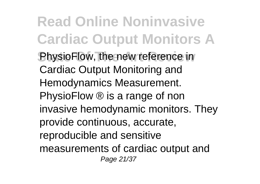**Read Online Noninvasive Cardiac Output Monitors A PhysioFlow, the new reference in** Cardiac Output Monitoring and Hemodynamics Measurement. PhysioFlow ® is a range of non invasive hemodynamic monitors. They provide continuous, accurate, reproducible and sensitive measurements of cardiac output and Page 21/37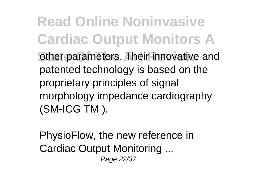**Read Online Noninvasive Cardiac Output Monitors A** other parameters. Their innovative and patented technology is based on the proprietary principles of signal morphology impedance cardiography (SM-ICG TM ).

PhysioFlow, the new reference in Cardiac Output Monitoring ... Page 22/37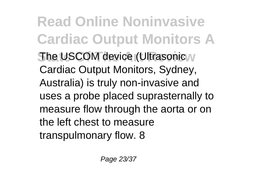**Read Online Noninvasive Cardiac Output Monitors A State USCOM device (Ultrasonic M** Cardiac Output Monitors, Sydney, Australia) is truly non-invasive and uses a probe placed suprasternally to measure flow through the aorta or on the left chest to measure transpulmonary flow. 8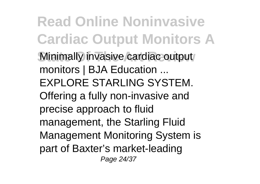**Read Online Noninvasive Cardiac Output Monitors A Minimally invasive cardiac output** monitors | BJA Education ... EXPLORE STARLING SYSTEM. Offering a fully non-invasive and precise approach to fluid management, the Starling Fluid Management Monitoring System is part of Baxter's market-leading Page 24/37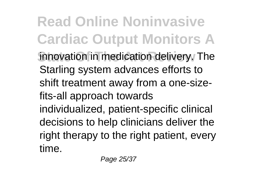**Read Online Noninvasive Cardiac Output Monitors A** innovation in medication delivery. The Starling system advances efforts to shift treatment away from a one-sizefits-all approach towards individualized, patient-specific clinical decisions to help clinicians deliver the right therapy to the right patient, every time.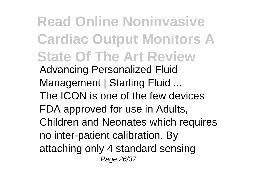**Read Online Noninvasive Cardiac Output Monitors A State Of The Art Review** Advancing Personalized Fluid Management | Starling Fluid ... The ICON is one of the few devices FDA approved for use in Adults, Children and Neonates which requires no inter-patient calibration. By attaching only 4 standard sensing Page 26/37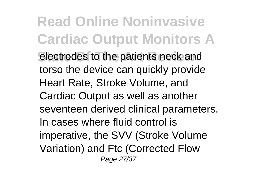**Read Online Noninvasive Cardiac Output Monitors A electrodes to the patients neck and** torso the device can quickly provide Heart Rate, Stroke Volume, and Cardiac Output as well as another seventeen derived clinical parameters. In cases where fluid control is imperative, the SVV (Stroke Volume Variation) and Ftc (Corrected Flow Page 27/37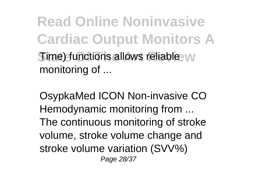**Read Online Noninvasive Cardiac Output Monitors A Time) functions allows reliable W** monitoring of ...

OsypkaMed ICON Non-invasive CO Hemodynamic monitoring from ... The continuous monitoring of stroke volume, stroke volume change and stroke volume variation (SVV%) Page 28/37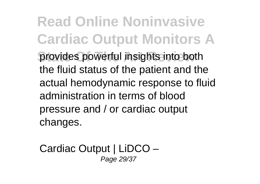**Read Online Noninvasive Cardiac Output Monitors A provides powerful insights into both** the fluid status of the patient and the actual hemodynamic response to fluid administration in terms of blood pressure and / or cardiac output changes.

Cardiac Output | LiDCO – Page 29/37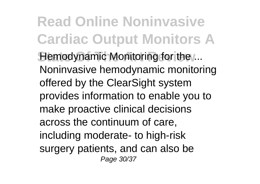**Read Online Noninvasive Cardiac Output Monitors A Hemodynamic Monitoring for the ...** Noninvasive hemodynamic monitoring offered by the ClearSight system provides information to enable you to make proactive clinical decisions across the continuum of care, including moderate- to high-risk surgery patients, and can also be Page 30/37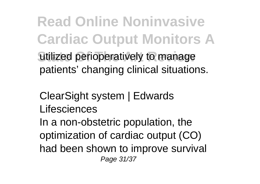**Read Online Noninvasive Cardiac Output Monitors A** utilized perioperatively to manage patients' changing clinical situations.

ClearSight system | Edwards Lifesciences

In a non-obstetric population, the optimization of cardiac output (CO) had been shown to improve survival Page 31/37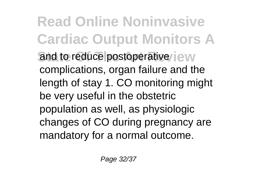**Read Online Noninvasive Cardiac Output Monitors A** and to reduce postoperative iew complications, organ failure and the length of stay 1. CO monitoring might be very useful in the obstetric population as well, as physiologic changes of CO during pregnancy are mandatory for a normal outcome.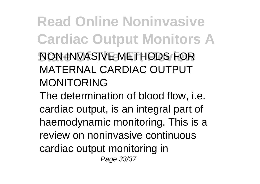## **Read Online Noninvasive Cardiac Output Monitors A NON-INVASIVE METHODS FOR** MATERNAL CARDIAC OUTPUT MONITORING

The determination of blood flow, i.e. cardiac output, is an integral part of haemodynamic monitoring. This is a review on noninvasive continuous cardiac output monitoring in Page 33/37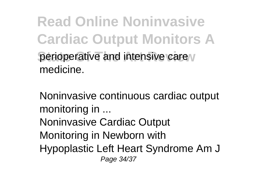**Read Online Noninvasive Cardiac Output Monitors A Derioperative and intensive care** medicine.

Noninvasive continuous cardiac output monitoring in ... Noninvasive Cardiac Output Monitoring in Newborn with Hypoplastic Left Heart Syndrome Am J Page 34/37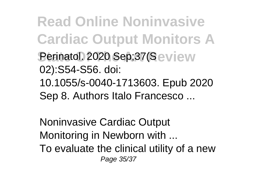**Read Online Noninvasive Cardiac Output Monitors A Perinatol. 2020 Sep;37(Seview** 02):S54-S56. doi: 10.1055/s-0040-1713603. Epub 2020 Sep 8. Authors Italo Francesco ...

Noninvasive Cardiac Output Monitoring in Newborn with ... To evaluate the clinical utility of a new Page 35/37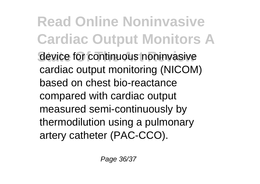**Read Online Noninvasive Cardiac Output Monitors A Revice for continuous noninvasive** cardiac output monitoring (NICOM) based on chest bio-reactance compared with cardiac output measured semi-continuously by thermodilution using a pulmonary artery catheter (PAC-CCO).